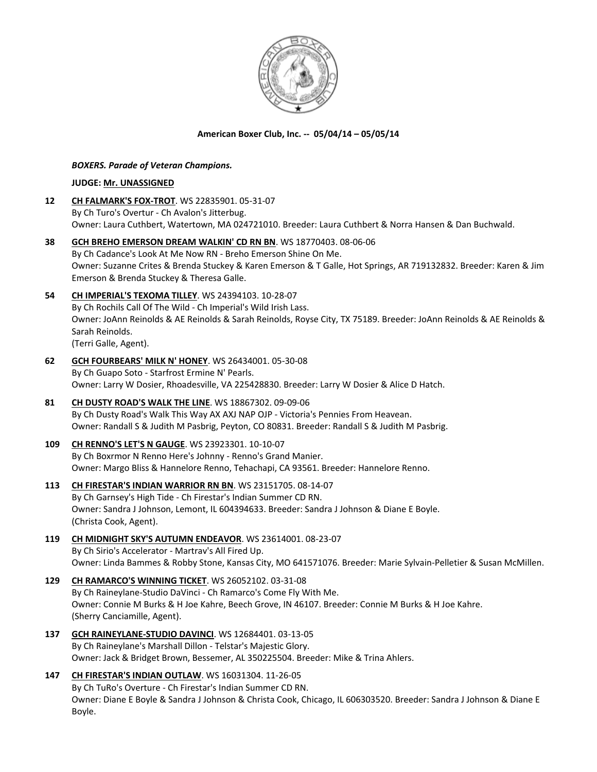

# **American Boxer Club, Inc. -- 05/04/14 – 05/05/14**

## *BOXERS. Parade of Veteran Champions.*

## **JUDGE: [Mr. UNASSIGNED](http://www.infodog.com/judges/9999/juddat.htm)**

- **12 [CH FALMARK'S FOX-TROT](http://www.infodog.com/files/bdogrsl1.prg;makc=WS%2022835901;mdog=Ch_Falmark_s_Fox-Trot;wins=all)**. WS 22835901. 05-31-07 By Ch Turo's Overtur - Ch Avalon's Jitterbug. Owner: Laura Cuthbert, Watertown, MA 024721010. Breeder: Laura Cuthbert & Norra Hansen & Dan Buchwald.
- **38 [GCH BREHO EMERSON DREAM WALKIN' CD RN BN](http://www.infodog.com/files/bdogrsl1.prg;makc=WS%2018770403;mdog=GCH_Breho_Emerson_Dream_Walkin__CD_RN_BN;wins=all)**. WS 18770403. 08-06-06 By Ch Cadance's Look At Me Now RN - Breho Emerson Shine On Me. Owner: Suzanne Crites & Brenda Stuckey & Karen Emerson & T Galle, Hot Springs, AR 719132832. Breeder: Karen & Jim Emerson & Brenda Stuckey & Theresa Galle.
- **54 [CH IMPERIAL'S TEXOMA TILLEY](http://www.infodog.com/files/bdogrsl1.prg;makc=WS%2024394103;mdog=Ch_Imperial_s_Texoma_Tilley;wins=all)**. WS 24394103. 10-28-07 By Ch Rochils Call Of The Wild - Ch Imperial's Wild Irish Lass. Owner: JoAnn Reinolds & AE Reinolds & Sarah Reinolds, Royse City, TX 75189. Breeder: JoAnn Reinolds & AE Reinolds & Sarah Reinolds. (Terri Galle, Agent).
- **62 [GCH FOURBEARS' MILK N' HONEY](http://www.infodog.com/files/bdogrsl1.prg;makc=WS%2026434001;mdog=GCH_Fourbears__Milk_N__Honey;wins=all)**. WS 26434001. 05-30-08 By Ch Guapo Soto - Starfrost Ermine N' Pearls. Owner: Larry W Dosier, Rhoadesville, VA 225428830. Breeder: Larry W Dosier & Alice D Hatch.
- **81 [CH DUSTY ROAD'S WALK THE LINE](http://www.infodog.com/files/bdogrsl1.prg;makc=WS%2018867302;mdog=Ch_Dusty_Road_s_Walk_The_Line;wins=all)**. WS 18867302. 09-09-06 By Ch Dusty Road's Walk This Way AX AXJ NAP OJP - Victoria's Pennies From Heavean. Owner: Randall S & Judith M Pasbrig, Peyton, CO 80831. Breeder: Randall S & Judith M Pasbrig.
- **109 [CH RENNO'S LET'S N GAUGE](http://www.infodog.com/files/bdogrsl1.prg;makc=WS%2023923301;mdog=Ch_Renno_s_Let_s_N_Gauge;wins=all)**. WS 23923301. 10-10-07 By Ch Boxrmor N Renno Here's Johnny - Renno's Grand Manier. Owner: Margo Bliss & Hannelore Renno, Tehachapi, CA 93561. Breeder: Hannelore Renno.
- **113 [CH FIRESTAR'S INDIAN WARRIOR RN BN](http://www.infodog.com/files/bdogrsl1.prg;makc=WS%2023151705;mdog=Ch_Firestar_s_Indian_Warrior_RN_BN;wins=all)**. WS 23151705. 08-14-07 By Ch Garnsey's High Tide - Ch Firestar's Indian Summer CD RN. Owner: Sandra J Johnson, Lemont, IL 604394633. Breeder: Sandra J Johnson & Diane E Boyle. (Christa Cook, Agent).
- **119 [CH MIDNIGHT SKY'S AUTUMN ENDEAVOR](http://www.infodog.com/files/bdogrsl1.prg;makc=WS%2023614001;mdog=Ch_Midnight_Sky_s_Autumn_Endeavor;wins=all)**. WS 23614001. 08-23-07 By Ch Sirio's Accelerator - Martrav's All Fired Up. Owner: Linda Bammes & Robby Stone, Kansas City, MO 641571076. Breeder: Marie Sylvain-Pelletier & Susan McMillen.
- **129 [CH RAMARCO'S WINNING TICKET](http://www.infodog.com/files/bdogrsl1.prg;makc=WS%2026052102;mdog=Ch_Ramarco_s_Winning_Ticket;wins=all)**. WS 26052102. 03-31-08 By Ch Raineylane-Studio DaVinci - Ch Ramarco's Come Fly With Me. Owner: Connie M Burks & H Joe Kahre, Beech Grove, IN 46107. Breeder: Connie M Burks & H Joe Kahre. (Sherry Canciamille, Agent).
- **137 [GCH RAINEYLANE-STUDIO DAVINCI](http://www.infodog.com/files/bdogrsl1.prg;makc=WS%2012684401;mdog=GCH_Raineylane-Studio_DaVinci;wins=all)**. WS 12684401. 03-13-05 By Ch Raineylane's Marshall Dillon - Telstar's Majestic Glory. Owner: Jack & Bridget Brown, Bessemer, AL 350225504. Breeder: Mike & Trina Ahlers.
- **147 [CH FIRESTAR'S INDIAN OUTLAW](http://www.infodog.com/files/bdogrsl1.prg;makc=WS%2016031304;mdog=Ch_Firestar_s_Indian_Outlaw;wins=all)**. WS 16031304. 11-26-05 By Ch TuRo's Overture - Ch Firestar's Indian Summer CD RN. Owner: Diane E Boyle & Sandra J Johnson & Christa Cook, Chicago, IL 606303520. Breeder: Sandra J Johnson & Diane E Boyle.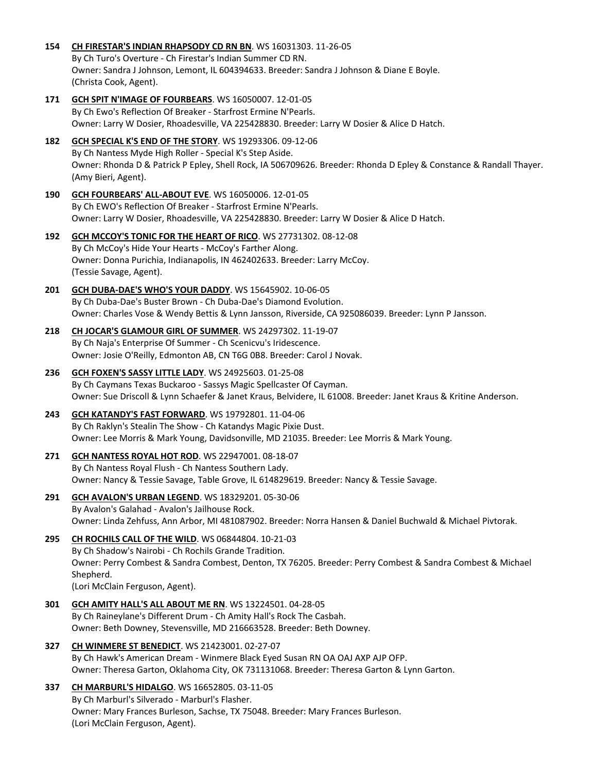- **154 [CH FIRESTAR'S INDIAN RHAPSODY CD RN BN](http://www.infodog.com/files/bdogrsl1.prg;makc=WS%2016031303;mdog=Ch_Firestar_s_Indian_Rhapsody_CD_RN_BN;wins=all)**. WS 16031303. 11-26-05 By Ch Turo's Overture - Ch Firestar's Indian Summer CD RN. Owner: Sandra J Johnson, Lemont, IL 604394633. Breeder: Sandra J Johnson & Diane E Boyle. (Christa Cook, Agent).
- **171 [GCH SPIT N'IMAGE OF FOURBEARS](http://www.infodog.com/files/bdogrsl1.prg;makc=WS%2016050007;mdog=GCH_Spit_N_Image_Of_Fourbears;wins=all)**. WS 16050007. 12-01-05 By Ch Ewo's Reflection Of Breaker - Starfrost Ermine N'Pearls. Owner: Larry W Dosier, Rhoadesville, VA 225428830. Breeder: Larry W Dosier & Alice D Hatch.
- **182 [GCH SPECIAL K'S END OF THE STORY](http://www.infodog.com/files/bdogrsl1.prg;makc=WS%2019293306;mdog=GCH_Special_K_s_End_Of_The_Story;wins=all)**. WS 19293306. 09-12-06 By Ch Nantess Myde High Roller - Special K's Step Aside. Owner: Rhonda D & Patrick P Epley, Shell Rock, IA 506709626. Breeder: Rhonda D Epley & Constance & Randall Thayer. (Amy Bieri, Agent).
- **190 [GCH FOURBEARS' ALL-ABOUT EVE](http://www.infodog.com/files/bdogrsl1.prg;makc=WS%2016050006;mdog=GCH_Fourbears__All-About_Eve;wins=all)**. WS 16050006. 12-01-05 By Ch EWO's Reflection Of Breaker - Starfrost Ermine N'Pearls. Owner: Larry W Dosier, Rhoadesville, VA 225428830. Breeder: Larry W Dosier & Alice D Hatch.
- **192 [GCH MCCOY'S TONIC FOR THE HEART OF RICO](http://www.infodog.com/files/bdogrsl1.prg;makc=WS%2027731302;mdog=GCH_McCoy_s_Tonic_For_The_Heart_Of_Rico;wins=all)**. WS 27731302. 08-12-08 By Ch McCoy's Hide Your Hearts - McCoy's Farther Along. Owner: Donna Purichia, Indianapolis, IN 462402633. Breeder: Larry McCoy. (Tessie Savage, Agent).
- **201 [GCH DUBA-DAE'S WHO'S YOUR DADDY](http://www.infodog.com/files/bdogrsl1.prg;makc=WS%2015645902;mdog=GCH_Duba-Dae_s_Who_s_Your_Daddy;wins=all)**. WS 15645902. 10-06-05 By Ch Duba-Dae's Buster Brown - Ch Duba-Dae's Diamond Evolution. Owner: Charles Vose & Wendy Bettis & Lynn Jansson, Riverside, CA 925086039. Breeder: Lynn P Jansson.
- **218 [CH JOCAR'S GLAMOUR GIRL OF SUMMER](http://www.infodog.com/files/bdogrsl1.prg;makc=WS%2024297302;mdog=Ch_Jocar_s_Glamour_Girl_Of_Summer;wins=all)**. WS 24297302. 11-19-07 By Ch Naja's Enterprise Of Summer - Ch Scenicvu's Iridescence. Owner: Josie O'Reilly, Edmonton AB, CN T6G 0B8. Breeder: Carol J Novak.
- **236 [GCH FOXEN'S SASSY LITTLE LADY](http://www.infodog.com/files/bdogrsl1.prg;makc=WS%2024925603;mdog=GCH_Foxen_s_Sassy_Little_Lady;wins=all)**. WS 24925603. 01-25-08 By Ch Caymans Texas Buckaroo - Sassys Magic Spellcaster Of Cayman. Owner: Sue Driscoll & Lynn Schaefer & Janet Kraus, Belvidere, IL 61008. Breeder: Janet Kraus & Kritine Anderson.
- **243 [GCH KATANDY'S FAST FORWARD](http://www.infodog.com/files/bdogrsl1.prg;makc=WS%2019792801;mdog=GCH_Katandy_s_Fast_Forward;wins=all)**. WS 19792801. 11-04-06 By Ch Raklyn's Stealin The Show - Ch Katandys Magic Pixie Dust. Owner: Lee Morris & Mark Young, Davidsonville, MD 21035. Breeder: Lee Morris & Mark Young.
- **271 [GCH NANTESS ROYAL HOT ROD](http://www.infodog.com/files/bdogrsl1.prg;makc=WS%2022947001;mdog=GCH_Nantess_Royal_Hot_Rod;wins=all)**. WS 22947001. 08-18-07 By Ch Nantess Royal Flush - Ch Nantess Southern Lady. Owner: Nancy & Tessie Savage, Table Grove, IL 614829619. Breeder: Nancy & Tessie Savage.
- **291 [GCH AVALON'S URBAN LEGEND](http://www.infodog.com/files/bdogrsl1.prg;makc=WS%2018329201;mdog=GCH_Avalon_s_Urban_Legend;wins=all)**. WS 18329201. 05-30-06 By Avalon's Galahad - Avalon's Jailhouse Rock. Owner: Linda Zehfuss, Ann Arbor, MI 481087902. Breeder: Norra Hansen & Daniel Buchwald & Michael Pivtorak.
- **295 [CH ROCHILS CALL OF THE WILD](http://www.infodog.com/files/bdogrsl1.prg;makc=WS%2006844804;mdog=Ch_Rochils_Call_Of_The_Wild;wins=all)**. WS 06844804. 10-21-03 By Ch Shadow's Nairobi - Ch Rochils Grande Tradition. Owner: Perry Combest & Sandra Combest, Denton, TX 76205. Breeder: Perry Combest & Sandra Combest & Michael Shepherd. (Lori McClain Ferguson, Agent).
- **301 [GCH AMITY HALL'S ALL ABOUT ME RN](http://www.infodog.com/files/bdogrsl1.prg;makc=WS%2013224501;mdog=GCH_Amity_Hall_s_All_About_Me_RN;wins=all)**. WS 13224501. 04-28-05 By Ch Raineylane's Different Drum - Ch Amity Hall's Rock The Casbah. Owner: Beth Downey, Stevensville, MD 216663528. Breeder: Beth Downey.
- **327 [CH WINMERE ST BENEDICT](http://www.infodog.com/files/bdogrsl1.prg;makc=WS%2021423001;mdog=Ch_Winmere_St_Benedict;wins=all)**. WS 21423001. 02-27-07 By Ch Hawk's American Dream - Winmere Black Eyed Susan RN OA OAJ AXP AJP OFP. Owner: Theresa Garton, Oklahoma City, OK 731131068. Breeder: Theresa Garton & Lynn Garton.
- **337 [CH MARBURL'S HIDALGO](http://www.infodog.com/files/bdogrsl1.prg;makc=WS%2016652805;mdog=Ch_Marburl_s_Hidalgo;wins=all)**. WS 16652805. 03-11-05 By Ch Marburl's Silverado - Marburl's Flasher. Owner: Mary Frances Burleson, Sachse, TX 75048. Breeder: Mary Frances Burleson. (Lori McClain Ferguson, Agent).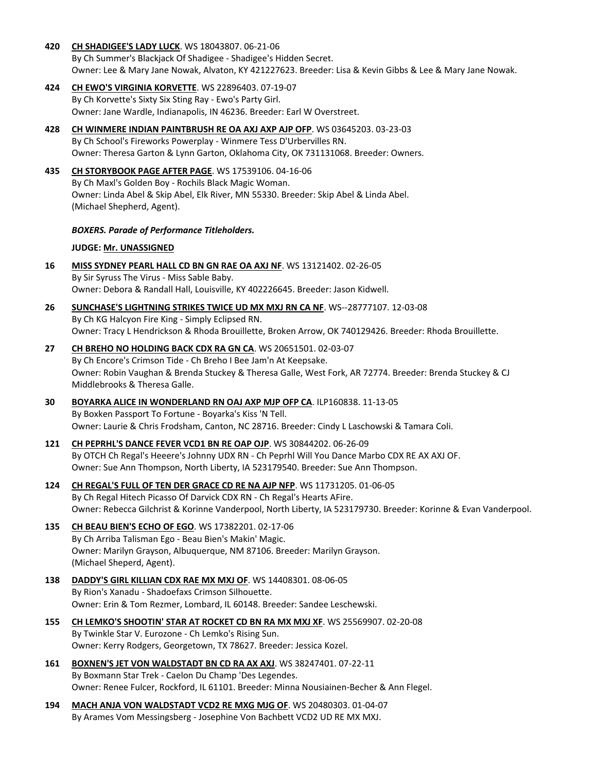**420 [CH SHADIGEE'S LADY LUCK](http://www.infodog.com/files/bdogrsl1.prg;makc=WS%2018043807;mdog=Ch_Shadigee_s_Lady_Luck;wins=all)**. WS 18043807. 06-21-06

By Ch Summer's Blackjack Of Shadigee - Shadigee's Hidden Secret. Owner: Lee & Mary Jane Nowak, Alvaton, KY 421227623. Breeder: Lisa & Kevin Gibbs & Lee & Mary Jane Nowak.

- **424 [CH EWO'S VIRGINIA KORVETTE](http://www.infodog.com/files/bdogrsl1.prg;makc=WS%2022896403;mdog=Ch_Ewo_s_Virginia_Korvette;wins=all)**. WS 22896403. 07-19-07 By Ch Korvette's Sixty Six Sting Ray - Ewo's Party Girl. Owner: Jane Wardle, Indianapolis, IN 46236. Breeder: Earl W Overstreet.
- **428 [CH WINMERE INDIAN PAINTBRUSH RE OA AXJ AXP AJP OFP](http://www.infodog.com/files/bdogrsl1.prg;makc=WS%2003645203;mdog=Ch_Winmere_Indian_Paintbrush_RE_OA_AXJ_AXP_AJP_OFP;wins=all)**. WS 03645203. 03-23-03 By Ch School's Fireworks Powerplay - Winmere Tess D'Urbervilles RN. Owner: Theresa Garton & Lynn Garton, Oklahoma City, OK 731131068. Breeder: Owners.
- **435 [CH STORYBOOK PAGE AFTER PAGE](http://www.infodog.com/files/bdogrsl1.prg;makc=WS%2017539106;mdog=Ch_Storybook_Page_After_Page;wins=all)**. WS 17539106. 04-16-06 By Ch Maxl's Golden Boy - Rochils Black Magic Woman. Owner: Linda Abel & Skip Abel, Elk River, MN 55330. Breeder: Skip Abel & Linda Abel. (Michael Shepherd, Agent).

## *BOXERS. Parade of Performance Titleholders.*

## **JUDGE: [Mr. UNASSIGNED](http://www.infodog.com/judges/9999/juddat.htm)**

- **16 [MISS SYDNEY PEARL HALL CD BN GN RAE OA AXJ NF](http://www.infodog.com/files/bdogrsl1.prg;makc=WS%2013121402;mdog=Miss_Sydney_Pearl_Hall_CD_BN_GN_RAE_OA_AXJ_NF;wins=all)**. WS 13121402. 02-26-05 By Sir Syruss The Virus - Miss Sable Baby. Owner: Debora & Randall Hall, Louisville, KY 402226645. Breeder: Jason Kidwell.
- **26 [SUNCHASE'S LIGHTNING STRIKES TWICE](http://www.infodog.com/files/bdogrsl1.prg;makc=WS--28777107;mdog=Sunchase_s_Lightning_Strikes_Twice_UD_MX_MXJ_RN_CA_NF;wins=all) UD MX MXJ RN CA NF**. WS--28777107. 12-03-08 By Ch KG Halcyon Fire King - Simply Eclipsed RN. Owner: Tracy L Hendrickson & Rhoda Brouillette, Broken Arrow, OK 740129426. Breeder: Rhoda Brouillette.
- **27 [CH BREHO NO HOLDING BACK CDX RA GN CA](http://www.infodog.com/files/bdogrsl1.prg;makc=WS%2020651501;mdog=Ch_Breho_No_Holding_Back_CDX_RA_GN_CA;wins=all)**. WS 20651501. 02-03-07 By Ch Encore's Crimson Tide - Ch Breho I Bee Jam'n At Keepsake. Owner: Robin Vaughan & Brenda Stuckey & Theresa Galle, West Fork, AR 72774. Breeder: Brenda Stuckey & CJ Middlebrooks & Theresa Galle.
- **30 [BOYARKA ALICE IN WONDERLAND RN OAJ AXP MJP OFP CA](http://www.infodog.com/files/bdogrsl1.prg;makc=ILP160838;mdog=Boyarka_Alice_In_Wonderland_RN_OAJ_AXP_MJP_OFP_CA;wins=all)**. ILP160838. 11-13-05 By Boxken Passport To Fortune - Boyarka's Kiss 'N Tell. Owner: Laurie & Chris Frodsham, Canton, NC 28716. Breeder: Cindy L Laschowski & Tamara Coli.
- **121 [CH PEPRHL'S DANCE FEVER VCD1 BN RE OAP OJP](http://www.infodog.com/files/bdogrsl1.prg;makc=WS%2030844202;mdog=Ch_Peprhl_s_Dance_Fever_VCD1_BN_RE_OAP_OJP;wins=all)**. WS 30844202. 06-26-09 By OTCH Ch Regal's Heeere's Johnny UDX RN - Ch Peprhl Will You Dance Marbo CDX RE AX AXJ OF. Owner: Sue Ann Thompson, North Liberty, IA 523179540. Breeder: Sue Ann Thompson.
- **124 [CH REGAL'S FULL OF TEN DER GRACE CD RE NA AJP NFP](http://www.infodog.com/files/bdogrsl1.prg;makc=WS%2011731205;mdog=Ch_Regal_s_Full_Of_Ten_Der_Grace_CD_RE_NA_AJP_NFP;wins=all)**. WS 11731205. 01-06-05 By Ch Regal Hitech Picasso Of Darvick CDX RN - Ch Regal's Hearts AFire. Owner: Rebecca Gilchrist & Korinne Vanderpool, North Liberty, IA 523179730. Breeder: Korinne & Evan Vanderpool.
- **135 [CH BEAU BIEN'S ECHO OF EGO](http://www.infodog.com/files/bdogrsl1.prg;makc=WS%2017382201;mdog=Ch_Beau_Bien_s_Echo_Of_Ego;wins=all)**. WS 17382201. 02-17-06 By Ch Arriba Talisman Ego - Beau Bien's Makin' Magic. Owner: Marilyn Grayson, Albuquerque, NM 87106. Breeder: Marilyn Grayson. (Michael Sheperd, Agent).
- **138 [DADDY'S GIRL KILLIAN CDX RAE MX MXJ OF](http://www.infodog.com/files/bdogrsl1.prg;makc=WS%2014408301;mdog=Daddy_s_Girl_Killian_CDX_RAE_MX_MXJ_OF;wins=all)**. WS 14408301. 08-06-05 By Rion's Xanadu - Shadoefaxs Crimson Silhouette. Owner: Erin & Tom Rezmer, Lombard, IL 60148. Breeder: Sandee Leschewski.
- **155 [CH LEMKO'S SHOOTIN' STAR AT ROCKET CD BN RA MX MXJ XF](http://www.infodog.com/files/bdogrsl1.prg;makc=WS%2025569907;mdog=Ch_Lemko_s_Shootin__Star_At_Rocket_CD_BN_RA_MX_MXJ_XF;wins=all)**. WS 25569907. 02-20-08 By Twinkle Star V. Eurozone - Ch Lemko's Rising Sun. Owner: Kerry Rodgers, Georgetown, TX 78627. Breeder: Jessica Kozel.
- **161 [BOXNEN'S JET VON WALDSTADT BN CD RA AX AXJ](http://www.infodog.com/files/bdogrsl1.prg;makc=WS%2038247401;mdog=Boxnen_s_Jet_Von_Waldstadt_BN_CD_RA_AX_AXJ;wins=all)**. WS 38247401. 07-22-11 By Boxmann Star Trek - Caelon Du Champ 'Des Legendes. Owner: Renee Fulcer, Rockford, IL 61101. Breeder: Minna Nousiainen-Becher & Ann Flegel.
- **194 [MACH ANJA VON WALDSTADT VCD2 RE MXG MJG OF](http://www.infodog.com/files/bdogrsl1.prg;makc=WS%2020480303;mdog=MACH_Anja_Von_Waldstadt_VCD2_RE_MXG_MJG_OF;wins=all)**. WS 20480303. 01-04-07 By Arames Vom Messingsberg - Josephine Von Bachbett VCD2 UD RE MX MXJ.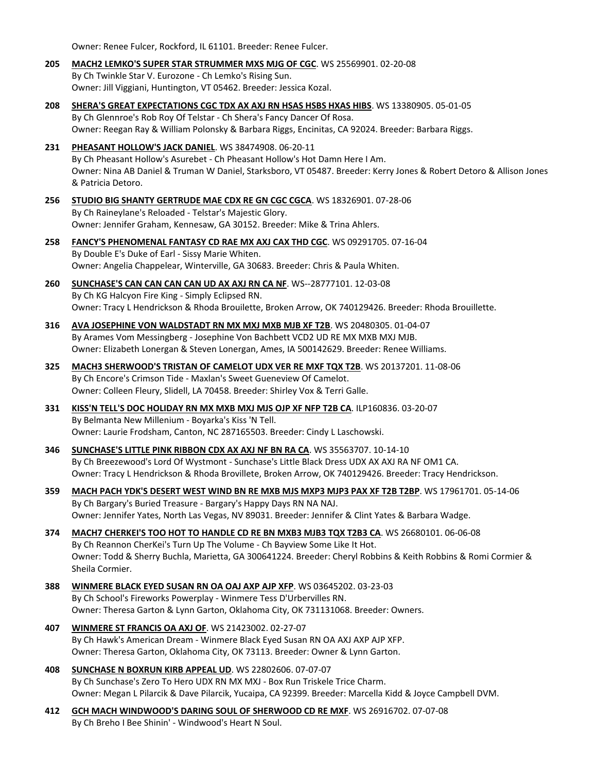Owner: Renee Fulcer, Rockford, IL 61101. Breeder: Renee Fulcer.

- **205 MACH2 LEMKO'S SUPER STAR [STRUMMER MXS MJG OF CGC](http://www.infodog.com/files/bdogrsl1.prg;makc=WS%2025569901;mdog=MACH2_Lemko_s_Super_Star_Strummer_MXS_MJG_OF_CGC;wins=all)**. WS 25569901. 02-20-08 By Ch Twinkle Star V. Eurozone - Ch Lemko's Rising Sun. Owner: Jill Viggiani, Huntington, VT 05462. Breeder: Jessica Kozal.
- **208 [SHERA'S GREAT EXPECTATIONS CGC TDX AX AXJ RN HSAS HSBS HXAS HIBS](http://www.infodog.com/files/bdogrsl1.prg;makc=WS%2013380905;mdog=Shera_s_Great_Expectations_CGC_TDX_AX_AXJ_RN_HSAs_HSBs_HXas_HIBs;wins=all)**. WS 13380905. 05-01-05 By Ch Glennroe's Rob Roy Of Telstar - Ch Shera's Fancy Dancer Of Rosa. Owner: Reegan Ray & William Polonsky & Barbara Riggs, Encinitas, CA 92024. Breeder: Barbara Riggs.
- **231 [PHEASANT HOLLOW'S JACK DANIEL](http://www.infodog.com/files/bdogrsl1.prg;makc=WS%2038474908;mdog=Pheasant_Hollow_s_Jack_Daniel;wins=all)**. WS 38474908. 06-20-11 By Ch Pheasant Hollow's Asurebet - Ch Pheasant Hollow's Hot Damn Here I Am. Owner: Nina AB Daniel & Truman W Daniel, Starksboro, VT 05487. Breeder: Kerry Jones & Robert Detoro & Allison Jones & Patricia Detoro.
- **256 [STUDIO BIG SHANTY GERTRUDE MAE CDX RE GN CGC CGCA](http://www.infodog.com/files/bdogrsl1.prg;makc=WS%2018326901;mdog=Studio_Big_Shanty_Gertrude_Mae_CDX_RE_GN_CGC_CGCA;wins=all)**. WS 18326901. 07-28-06 By Ch Raineylane's Reloaded - Telstar's Majestic Glory. Owner: Jennifer Graham, Kennesaw, GA 30152. Breeder: Mike & Trina Ahlers.
- **258 FANCY'S PHENOMENAL [FANTASY CD RAE MX AXJ CAX THD CGC](http://www.infodog.com/files/bdogrsl1.prg;makc=WS%2009291705;mdog=Fancy_s_Phenomenal_Fantasy_CD_RAE_MX_AXJ_CAX_THD_CGC;wins=all)**. WS 09291705. 07-16-04 By Double E's Duke of Earl - Sissy Marie Whiten. Owner: Angelia Chappelear, Winterville, GA 30683. Breeder: Chris & Paula Whiten.
- **260 [SUNCHASE'S CAN CAN CAN CAN UD AX AXJ RN CA NF](http://www.infodog.com/files/bdogrsl1.prg;makc=WS--28777101;mdog=Sunchase_s_Can_Can_Can_Can_UD_AX_AXJ_RN_CA_NF;wins=all)**. WS--28777101. 12-03-08 By Ch KG Halcyon Fire King - Simply Eclipsed RN. Owner: Tracy L Hendrickson & Rhoda Brouilette, Broken Arrow, OK 740129426. Breeder: Rhoda Brouillette.
- **316 [AVA JOSEPHINE VON WALDSTADT RN MX MXJ MXB MJB XF T2B](http://www.infodog.com/files/bdogrsl1.prg;makc=WS%2020480305;mdog=Ava_Josephine_Von_Waldstadt_RN_MX_MXJ_MXB_MJB_XF_T2B;wins=all)**. WS 20480305. 01-04-07 By Arames Vom Messingberg - Josephine Von Bachbett VCD2 UD RE MX MXB MXJ MJB. Owner: Elizabeth Lonergan & Steven Lonergan, Ames, IA 500142629. Breeder: Renee Williams.
- **325 [MACH3 SHERWOOD'S TRISTAN OF CAMELOT UDX VER RE MXF TQX T2B](http://www.infodog.com/files/bdogrsl1.prg;makc=WS%2020137201;mdog=MACH3_Sherwood_s_Tristan_Of_Camelot_UDX_VER_RE_MXF_TQX_T2B;wins=all)**. WS 20137201. 11-08-06 By Ch Encore's Crimson Tide - Maxlan's Sweet Gueneview Of Camelot. Owner: Colleen Fleury, Slidell, LA 70458. Breeder: Shirley Vox & Terri Galle.
- **331 [KISS'N TELL'S DOC HOLIDAY RN MX MXB MXJ MJS OJP XF NFP T2B CA](http://www.infodog.com/files/bdogrsl1.prg;makc=ILP160836;mdog=Kiss_N_Tell_s_Doc_Holiday_RN_MX_MXB_MXJ_MJS_OJP_XF_NFP_T2B_CA;wins=all)**. ILP160836. 03-20-07 By Belmanta New Millenium - Boyarka's Kiss 'N Tell. Owner: Laurie Frodsham, Canton, NC 287165503. Breeder: Cindy L Laschowski.
- **346 [SUNCHASE'S LITTLE PINK RIBBON CDX AX AXJ NF BN RA CA](http://www.infodog.com/files/bdogrsl1.prg;makc=WS%2035563707;mdog=Sunchase_s_Little_Pink_Ribbon_CDX_AX_AXJ_NF_BN_RA_CA;wins=all)**. WS 35563707. 10-14-10 By Ch Breezewood's Lord Of Wystmont - Sunchase's Little Black Dress UDX AX AXJ RA NF OM1 CA. Owner: Tracy L Hendrickson & Rhoda Brovillete, Broken Arrow, OK 740129426. Breeder: Tracy Hendrickson.
- **359 [MACH PACH YDK'S DESERT WEST WIND BN RE MXB MJS MXP3 MJP3 PAX XF T2B T2BP](http://www.infodog.com/files/bdogrsl1.prg;makc=WS%2017961701;mdog=MACH_PACH_YDK_s_Desert_West_Wind_BN_RE_MXB_MJS_MXP3_MJP3_PAX_XF_T2B_T2BP;wins=all)**. WS 17961701. 05-14-06 By Ch Bargary's Buried Treasure - Bargary's Happy Days RN NA NAJ. Owner: Jennifer Yates, North Las Vegas, NV 89031. Breeder: Jennifer & Clint Yates & Barbara Wadge.
- **374 [MACH7 CHERKEI'S TOO HOT TO HANDLE CD RE BN MXB3 MJB3 TQX T2B3 CA](http://www.infodog.com/files/bdogrsl1.prg;makc=WS%2026680101;mdog=MACH7_CherKei_s_Too_Hot_To_Handle_CD_RE_BN_MXB3_MJB3_TQX_T2B3_CA;wins=all)**. WS 26680101. 06-06-08 By Ch Reannon CherKei's Turn Up The Volume - Ch Bayview Some Like It Hot. Owner: Todd & Sherry Buchla, Marietta, GA 300641224. Breeder: Cheryl Robbins & Keith Robbins & Romi Cormier & Sheila Cormier.
- **388 [WINMERE BLACK EYED SUSAN RN OA OAJ AXP AJP XFP](http://www.infodog.com/files/bdogrsl1.prg;makc=WS%2003645202;mdog=Winmere_Black_Eyed_Susan_RN_OA_OAJ_AXP_AJP_XFP;wins=all)**. WS 03645202. 03-23-03 By Ch School's Fireworks Powerplay - Winmere Tess D'Urbervilles RN. Owner: Theresa Garton & Lynn Garton, Oklahoma City, OK 731131068. Breeder: Owners.
- **407 [WINMERE ST FRANCIS OA AXJ OF](http://www.infodog.com/files/bdogrsl1.prg;makc=WS%2021423002;mdog=Winmere_St_Francis_OA_AXJ_OF;wins=all)**. WS 21423002. 02-27-07 By Ch Hawk's American Dream - Winmere Black Eyed Susan RN OA AXJ AXP AJP XFP. Owner: Theresa Garton, Oklahoma City, OK 73113. Breeder: Owner & Lynn Garton.
- **408 [SUNCHASE N BOXRUN KIRB APPEAL UD](http://www.infodog.com/files/bdogrsl1.prg;makc=WS%2022802606;mdog=Sunchase_N_Boxrun_Kirb_Appeal_UD;wins=all)**. WS 22802606. 07-07-07 By Ch Sunchase's Zero To Hero UDX RN MX MXJ - Box Run Triskele Trice Charm. Owner: Megan L Pilarcik & Dave Pilarcik, Yucaipa, CA 92399. Breeder: Marcella Kidd & Joyce Campbell DVM.
- **412 [GCH MACH WINDWOOD'S DARING SOUL OF SHERWOOD CD RE MXF](http://www.infodog.com/files/bdogrsl1.prg;makc=WS%2026916702;mdog=GCH_MACH_Windwood_s_Daring_Soul_Of_Sherwood_CD_RE_MXF;wins=all)**. WS 26916702. 07-07-08 By Ch Breho I Bee Shinin' - Windwood's Heart N Soul.